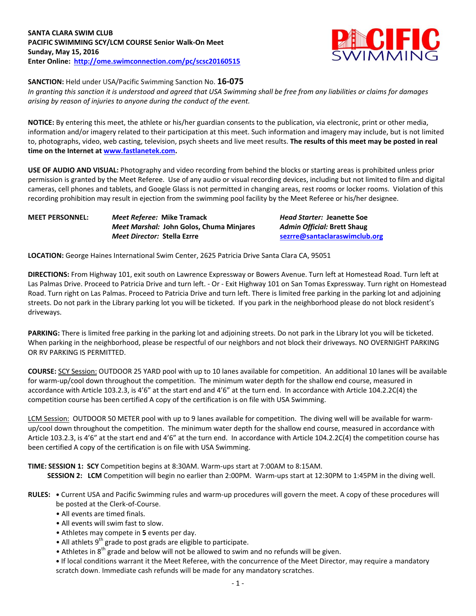# **SANTA CLARA SWIM CLUB PACIFIC SWIMMING SCY/LCM COURSE Senior Walk-On Meet Sunday, May 15, 2016 Enter Online: <http://ome.swimconnection.com/pc/scsc20160515>**



**SANCTION:** Held under USA/Pacific Swimming Sanction No. **16-075**

*In granting this sanction it is understood and agreed that USA Swimming shall be free from any liabilities or claims for damages arising by reason of injuries to anyone during the conduct of the event.*

**NOTICE:** By entering this meet, the athlete or his/her guardian consents to the publication, via electronic, print or other media, information and/or imagery related to their participation at this meet. Such information and imagery may include, but is not limited to, photographs, video, web casting, television, psych sheets and live meet results. **The results of this meet may be posted in real time on the Internet a[t www.fastlanetek.com.](http://www.fastlanetek.com/)**

**USE OF AUDIO AND VISUAL:** Photography and video recording from behind the blocks or starting areas is prohibited unless prior permission is granted by the Meet Referee. Use of any audio or visual recording devices, including but not limited to film and digital cameras, cell phones and tablets, and Google Glass is not permitted in changing areas, rest rooms or locker rooms. Violation of this recording prohibition may result in ejection from the swimming pool facility by the Meet Referee or his/her designee.

| MEET PERSONNEL: | Meet Referee: Mike Tramack                      |
|-----------------|-------------------------------------------------|
|                 | <i>Meet Marshal: John Golos, Chuma Minjares</i> |
|                 | <i>Meet Director: Stella Ezrre</i>              |

**MEET PERSONNEL:** *Meet Referee:* **Mike Tramack** *Head Starter:* **Jeanette Soe** *Meet Marshal:* **John Golos, Chuma Minjares** *Admin Official:* **Brett Shaug** *Meet Director:* **Stella Ezrre [sezrre@santaclaraswimclub.org](mailto:sezrre@santaclaraswimclub.org)**

**LOCATION:** George Haines International Swim Center, 2625 Patricia Drive Santa Clara CA, 95051

**DIRECTIONS:** From Highway 101, exit south on Lawrence Expressway or Bowers Avenue. Turn left at Homestead Road. Turn left at Las Palmas Drive. Proceed to Patricia Drive and turn left. - Or - Exit Highway 101 on San Tomas Expressway. Turn right on Homestead Road. Turn right on Las Palmas. Proceed to Patricia Drive and turn left. There is limited free parking in the parking lot and adjoining streets. Do not park in the Library parking lot you will be ticketed. If you park in the neighborhood please do not block resident's driveways.

**PARKING:** There is limited free parking in the parking lot and adjoining streets. Do not park in the Library lot you will be ticketed. When parking in the neighborhood, please be respectful of our neighbors and not block their driveways. NO OVERNIGHT PARKING OR RV PARKING IS PERMITTED.

**COURSE:** SCY Session: OUTDOOR 25 YARD pool with up to 10 lanes available for competition. An additional 10 lanes will be available for warm-up/cool down throughout the competition. The minimum water depth for the shallow end course, measured in accordance with Article 103.2.3, is 4'6" at the start end and 4'6" at the turn end. In accordance with Article 104.2.2C(4) the competition course has been certified A copy of the certification is on file with USA Swimming.

LCM Session: OUTDOOR 50 METER pool with up to 9 lanes available for competition. The diving well will be available for warmup/cool down throughout the competition. The minimum water depth for the shallow end course, measured in accordance with Article 103.2.3, is 4'6" at the start end and 4'6" at the turn end. In accordance with Article 104.2.2C(4) the competition course has been certified A copy of the certification is on file with USA Swimming.

**TIME: SESSION 1: SCY** Competition begins at 8:30AM. Warm-ups start at 7:00AM to 8:15AM.  **SESSION 2: LCM** Competition will begin no earlier than 2:00PM. Warm-ups start at 12:30PM to 1:45PM in the diving well.

- **RULES: •** Current USA and Pacific Swimming rules and warm-up procedures will govern the meet. A copy of these procedures will be posted at the Clerk-of-Course.
	- All events are timed finals.
	- All events will swim fast to slow.
	- Athletes may compete in **5** events per day.
	- $\bullet$  All athlets 9<sup>th</sup> grade to post grads are eligible to participate.
	- Athletes in  $8<sup>th</sup>$  grade and below will not be allowed to swim and no refunds will be given.

**•** If local conditions warrant it the Meet Referee, with the concurrence of the Meet Director, may require a mandatory scratch down. Immediate cash refunds will be made for any mandatory scratches.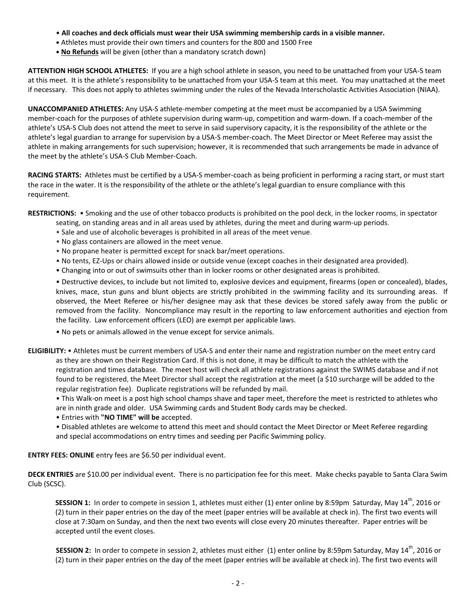- **All coaches and deck officials must wear their USA swimming membership cards in a visible manner.**
- **•** Athletes must provide their own timers and counters for the 800 and 1500 Free
- **• No Refunds** will be given (other than a mandatory scratch down)

**ATTENTION HIGH SCHOOL ATHLETES:** If you are a high school athlete in season, you need to be unattached from your USA-S team at this meet. It is the athlete's responsibility to be unattached from your USA-S team at this meet. You may unattached at the meet if necessary. This does not apply to athletes swimming under the rules of the Nevada Interscholastic Activities Association (NIAA).

**UNACCOMPANIED ATHLETES:** Any USA-S athlete-member competing at the meet must be accompanied by a USA Swimming member-coach for the purposes of athlete supervision during warm-up, competition and warm-down. If a coach-member of the athlete's USA-S Club does not attend the meet to serve in said supervisory capacity, it is the responsibility of the athlete or the athlete's legal guardian to arrange for supervision by a USA-S member-coach. The Meet Director or Meet Referee may assist the athlete in making arrangements for such supervision; however, it is recommended that such arrangements be made in advance of the meet by the athlete's USA-S Club Member-Coach.

**RACING STARTS:** Athletes must be certified by a USA-S member-coach as being proficient in performing a racing start, or must start the race in the water. It is the responsibility of the athlete or the athlete's legal guardian to ensure compliance with this requirement.

**RESTRICTIONS:** • Smoking and the use of other tobacco products is prohibited on the pool deck, in the locker rooms, in spectator

- seating, on standing areas and in all areas used by athletes, during the meet and during warm-up periods.
- Sale and use of alcoholic beverages is prohibited in all areas of the meet venue.
- No glass containers are allowed in the meet venue.
- No propane heater is permitted except for snack bar/meet operations.
- No tents, EZ-Ups or chairs allowed inside or outside venue (except coaches in their designated area provided).
- Changing into or out of swimsuits other than in locker rooms or other designated areas is prohibited.

• Destructive devices, to include but not limited to, explosive devices and equipment, firearms (open or concealed), blades, knives, mace, stun guns and blunt objects are strictly prohibited in the swimming facility and its surrounding areas. If observed, the Meet Referee or his/her designee may ask that these devices be stored safely away from the public or removed from the facility. Noncompliance may result in the reporting to law enforcement authorities and ejection from the facility. Law enforcement officers (LEO) are exempt per applicable laws.

- No pets or animals allowed in the venue except for service animals.
- **ELIGIBILITY:** Athletes must be current members of USA-S and enter their name and registration number on the meet entry card as they are shown on their Registration Card. If this is not done, it may be difficult to match the athlete with the registration and times database. The meet host will check all athlete registrations against the SWIMS database and if not found to be registered, the Meet Director shall accept the registration at the meet (a \$10 surcharge will be added to the regular registration fee). Duplicate registrations will be refunded by mail.
	- This Walk-on meet is a post high school champs shave and taper meet, therefore the meet is restricted to athletes who are in ninth grade and older. USA Swimming cards and Student Body cards may be checked.
	- Entries with **"NO TIME" will be** accepted.
	- Disabled athletes are welcome to attend this meet and should contact the Meet Director or Meet Referee regarding and special accommodations on entry times and seeding per Pacific Swimming policy.

**ENTRY FEES: ONLINE** entry fees are \$6.50 per individual event.

**DECK ENTRIES** are \$10.00 per individual event. There is no participation fee for this meet. Make checks payable to Santa Clara Swim Club (SCSC).

SESSION 1: In order to compete in session 1, athletes must either (1) enter online by 8:59pm Saturday, May 14<sup>th</sup>, 2016 or (2) turn in their paper entries on the day of the meet (paper entries will be available at check in). The first two events will close at 7:30am on Sunday, and then the next two events will close every 20 minutes thereafter. Paper entries will be accepted until the event closes.

SESSION 2: In order to compete in session 2, athletes must either (1) enter online by 8:59pm Saturday, May 14<sup>th</sup>, 2016 or (2) turn in their paper entries on the day of the meet (paper entries will be available at check in). The first two events will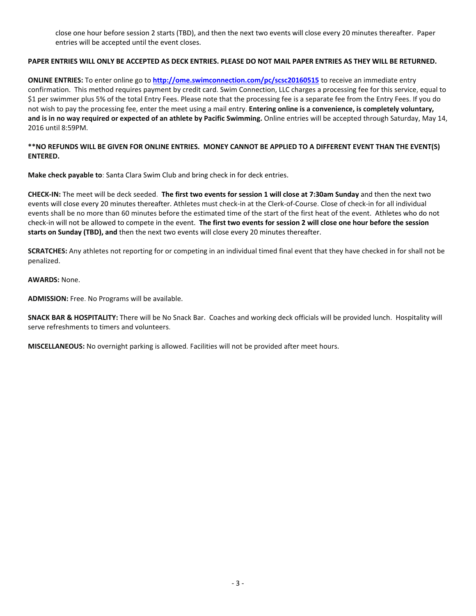close one hour before session 2 starts (TBD), and then the next two events will close every 20 minutes thereafter. Paper entries will be accepted until the event closes.

### **PAPER ENTRIES WILL ONLY BE ACCEPTED AS DECK ENTRIES. PLEASE DO NOT MAIL PAPER ENTRIES AS THEY WILL BE RETURNED.**

**ONLINE ENTRIES:** To enter online go to **<http://ome.swimconnection.com/pc/scsc20160515>** to receive an immediate entry confirmation. This method requires payment by credit card. Swim Connection, LLC charges a processing fee for this service, equal to \$1 per swimmer plus 5% of the total Entry Fees. Please note that the processing fee is a separate fee from the Entry Fees. If you do not wish to pay the processing fee, enter the meet using a mail entry. **Entering online is a convenience, is completely voluntary, and is in no way required or expected of an athlete by Pacific Swimming.** Online entries will be accepted through Saturday, May 14, 2016 until 8:59PM.

## **\*\*NO REFUNDS WILL BE GIVEN FOR ONLINE ENTRIES. MONEY CANNOT BE APPLIED TO A DIFFERENT EVENT THAN THE EVENT(S) ENTERED.**

**Make check payable to**: Santa Clara Swim Club and bring check in for deck entries.

**CHECK-IN:** The meet will be deck seeded. **The first two events for session 1 will close at 7:30am Sunday** and then the next two events will close every 20 minutes thereafter. Athletes must check-in at the Clerk-of-Course. Close of check-in for all individual events shall be no more than 60 minutes before the estimated time of the start of the first heat of the event. Athletes who do not check-in will not be allowed to compete in the event. **The first two events for session 2 will close one hour before the session starts on Sunday (TBD), and** then the next two events will close every 20 minutes thereafter.

**SCRATCHES:** Any athletes not reporting for or competing in an individual timed final event that they have checked in for shall not be penalized.

#### **AWARDS:** None.

**ADMISSION:** Free. No Programs will be available.

**SNACK BAR & HOSPITALITY:** There will be No Snack Bar. Coaches and working deck officials will be provided lunch. Hospitality will serve refreshments to timers and volunteers.

**MISCELLANEOUS:** No overnight parking is allowed. Facilities will not be provided after meet hours.